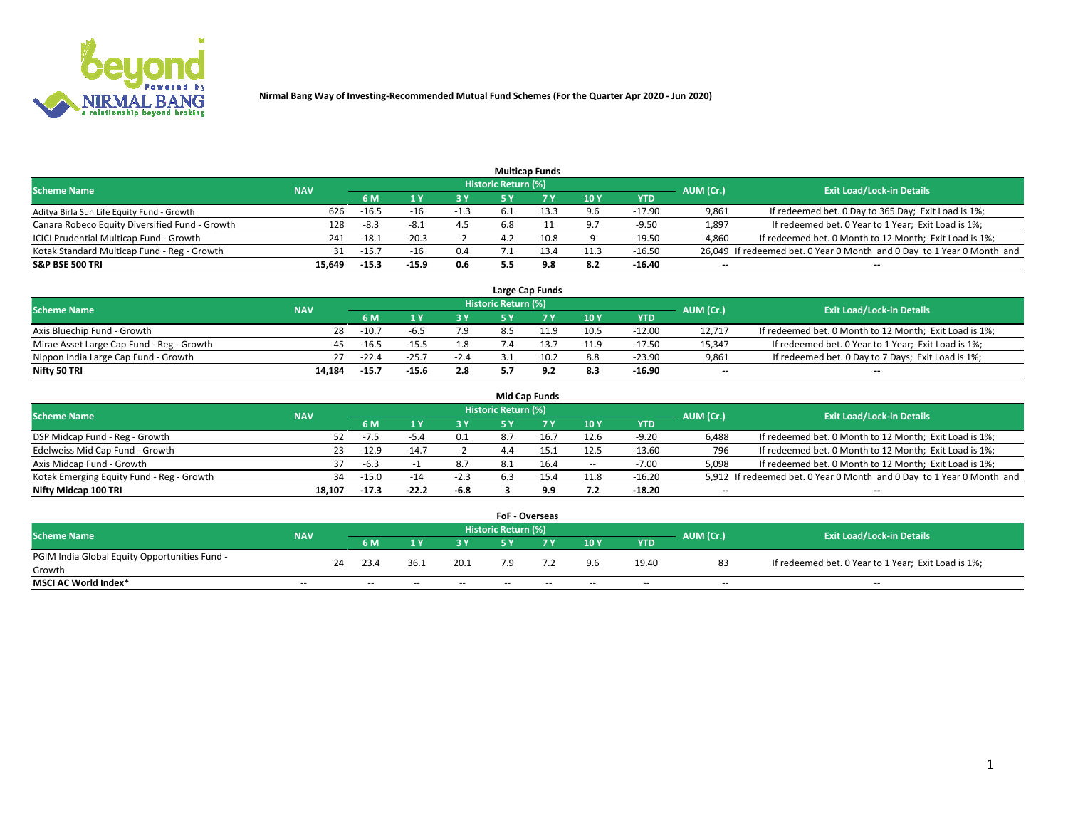

|                                                |            |                |         |        |                     | <b>Multicap Funds</b> |      |            |           |                                                                        |
|------------------------------------------------|------------|----------------|---------|--------|---------------------|-----------------------|------|------------|-----------|------------------------------------------------------------------------|
| <b>Scheme Name</b>                             | <b>NAV</b> |                |         |        | Historic Return (%) |                       |      |            | AUM (Cr.) | <b>Exit Load/Lock-in Details</b>                                       |
|                                                |            | 6 M            |         |        |                     |                       | 10Y  | <b>YTD</b> |           |                                                                        |
| Aditya Birla Sun Life Equity Fund - Growth     |            | 626<br>$-16.5$ |         | $-1.3$ |                     | 13.3                  | 9.6  | $-17.90$   | 9,861     | If redeemed bet. 0 Day to 365 Day; Exit Load is 1%;                    |
| Canara Robeco Equity Diversified Fund - Growth |            | 128<br>-8.3    | $-8.1$  | 4.5    | 5.8                 |                       | 9.7  | $-9.50$    | 1,897     | If redeemed bet. 0 Year to 1 Year; Exit Load is 1%;                    |
| ICICI Prudential Multicap Fund - Growth        |            | $-18.1$<br>241 | $-20.3$ |        |                     | 10.8                  | a    | $-19.50$   | 4,860     | If redeemed bet. 0 Month to 12 Month; Exit Load is 1%;                 |
| Kotak Standard Multicap Fund - Reg - Growth    |            | $-15.7$<br>31  |         | 0.4    |                     | 13.4                  | 11.3 | -16.50     |           | 26,049 If redeemed bet. 0 Year 0 Month and 0 Day to 1 Year 0 Month and |
| <b>S&amp;P BSE 500 TRI</b>                     | 15,649     | $-15.3$        | $-15.9$ | 0.6    |                     | 9.8                   | 8.2  | $-16.40$   | $- -$     | $-$                                                                    |

|                                           |            |         |         |        |                            | Large Cap Funds |      |          |                          |                                                        |
|-------------------------------------------|------------|---------|---------|--------|----------------------------|-----------------|------|----------|--------------------------|--------------------------------------------------------|
| <b>Scheme Name</b>                        | <b>NAV</b> |         |         |        | <b>Historic Return (%)</b> |                 |      |          | AUM (Cr.)                | <b>Exit Load/Lock-in Details</b>                       |
|                                           |            |         |         |        |                            |                 | 10Y  | YTD      |                          |                                                        |
| Axis Bluechip Fund - Growth               | 28         | $-10.7$ |         | 1.9    | 8.5                        | 11.9            | 10.5 | $-12.00$ | 12.717                   | If redeemed bet. 0 Month to 12 Month; Exit Load is 1%; |
| Mirae Asset Large Cap Fund - Reg - Growth |            | $-16.5$ | $-15.5$ | 1.8    |                            |                 | 11.9 | $-17.50$ | 15,347                   | If redeemed bet. 0 Year to 1 Year; Exit Load is 1%;    |
| Nippon India Large Cap Fund - Growth      | 27         | $-22.4$ | $-25.7$ | $-2.4$ |                            | 10.2            | 8.8  | $-23.90$ | 9,861                    | If redeemed bet. 0 Day to 7 Days; Exit Load is 1%;     |
| Nifty 50 TRI                              | 14.184     | $-15.7$ | $-15.6$ | 2.8    |                            |                 | 8.3  | $-16.90$ | $\overline{\phantom{a}}$ | $\overline{\phantom{a}}$                               |

|                                           |            |         |         |        |                     | Mid Cap Funds |                          |            |           |                                                                       |
|-------------------------------------------|------------|---------|---------|--------|---------------------|---------------|--------------------------|------------|-----------|-----------------------------------------------------------------------|
| <b>Scheme Name</b>                        | <b>NAV</b> |         |         |        | Historic Return (%) |               |                          |            | AUM (Cr.) | <b>Exit Load/Lock-in Details</b>                                      |
|                                           |            | 6 M     |         | 3 Y    |                     |               | 10Y                      | <b>YTD</b> |           |                                                                       |
| DSP Midcap Fund - Reg - Growth            | 52.        | $-7.5$  | -5.4    | 0.1    | 8.7                 |               | 12.6                     | $-9.20$    | 6,488     | If redeemed bet. 0 Month to 12 Month; Exit Load is 1%;                |
| Edelweiss Mid Cap Fund - Growth           | 23.        | $-12.9$ | $-14.7$ |        | 4.4                 |               | 12.5                     | $-13.60$   | 796       | If redeemed bet. 0 Month to 12 Month; Exit Load is 1%;                |
| Axis Midcap Fund - Growth                 |            | $-6.3$  |         | 8.7    | 8.1                 | 16.4          | $\overline{\phantom{a}}$ | $-7.00$    | 5,098     | If redeemed bet. 0 Month to 12 Month; Exit Load is 1%;                |
| Kotak Emerging Equity Fund - Reg - Growth | 34         | $-15.0$ | $-14$   | $-2.3$ | 6.3                 |               | 11.8                     | $-16.20$   |           | 5,912 If redeemed bet. 0 Year 0 Month and 0 Day to 1 Year 0 Month and |
| Nifty Midcap 100 TRI                      | 18.107     | $-17.3$ | $-22.2$ | -6.8   |                     | 9.9           | 7.2                      | $-18.20$   | $- -$     | $- -$                                                                 |

|                                               |            |    |       |       |       | <b>FoF - Overseas</b> |       |       |            |           |                                                     |
|-----------------------------------------------|------------|----|-------|-------|-------|-----------------------|-------|-------|------------|-----------|-----------------------------------------------------|
| <b>Scheme Name</b>                            | <b>NAV</b> |    |       |       |       | Historic Return (%)   |       |       |            | AUM (Cr.) | <b>Exit Load/Lock-in Details</b>                    |
|                                               |            |    | 6 M   |       | 3 Y   |                       |       | 10Y   | <b>YTD</b> |           |                                                     |
| PGIM India Global Equity Opportunities Fund - |            | 24 | 23.4  | 36.1  | 20.1  |                       |       | 9.6   | 19.40      | 83        | If redeemed bet. 0 Year to 1 Year; Exit Load is 1%; |
| Growth                                        |            |    |       |       |       |                       |       |       |            |           |                                                     |
| <b>MSCI AC World Index*</b>                   | $- -$      |    | $- -$ | $- -$ | $- -$ | $- -$                 | $- -$ | $- -$ | $- -$      | $-$       | $-$                                                 |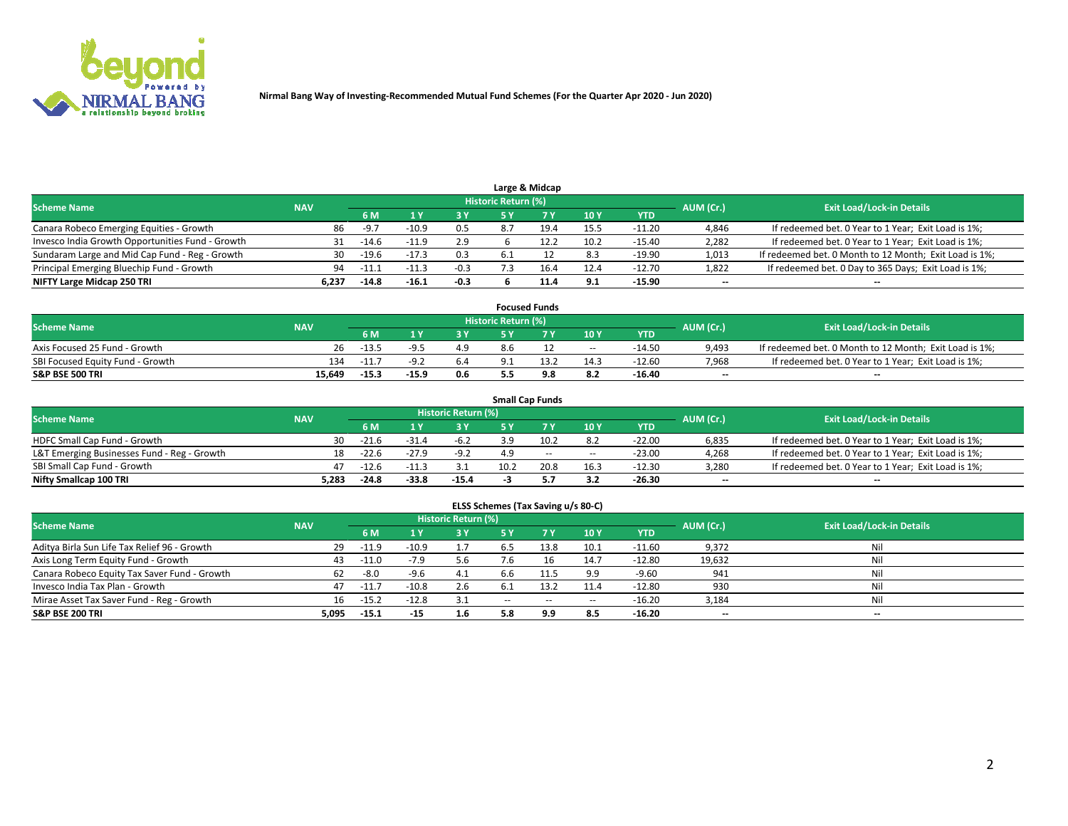

| Large & Midcap                                   |            |         |         |        |                     |      |      |            |           |                                                        |  |  |
|--------------------------------------------------|------------|---------|---------|--------|---------------------|------|------|------------|-----------|--------------------------------------------------------|--|--|
| <b>Scheme Name</b>                               | <b>NAV</b> |         |         |        | Historic Return (%) |      |      |            | AUM (Cr.) | <b>Exit Load/Lock-in Details</b>                       |  |  |
|                                                  |            | 6 M     |         | 2 V    |                     |      | 10Y  | <b>YTD</b> |           |                                                        |  |  |
| Canara Robeco Emerging Equities - Growth         | 86         | $-9.7$  | -10.9   | 0.5    |                     | 19.4 | 15.5 | $-11.20$   | 4,846     | If redeemed bet. 0 Year to 1 Year; Exit Load is 1%;    |  |  |
| Invesco India Growth Opportunities Fund - Growth | 31         | $-14.6$ | -11.9   | 2.9    |                     | 12.2 | 10.2 | $-15.40$   | 2,282     | If redeemed bet. 0 Year to 1 Year; Exit Load is 1%;    |  |  |
| Sundaram Large and Mid Cap Fund - Reg - Growth   | 30         | $-19.6$ | $-17.3$ | 0.3    |                     |      | 8.3  | -19.90     | 1,013     | If redeemed bet. 0 Month to 12 Month; Exit Load is 1%; |  |  |
| Principal Emerging Bluechip Fund - Growth        | 94         | $-11.1$ | $-11.3$ | $-0.3$ |                     | 16.4 | 12.4 | $-12.70$   | 1,822     | If redeemed bet. 0 Day to 365 Days; Exit Load is 1%;   |  |  |
| NIFTY Large Midcap 250 TRI                       | 6.237      | $-14.8$ | $-16.1$ | $-0.3$ |                     | 11.0 | 9.1  | $-15.90$   | $- -$     | $- -$                                                  |  |  |

| <b>Focused Funds</b>             |            |         |         |     |                     |      |            |            |           |                                                        |  |
|----------------------------------|------------|---------|---------|-----|---------------------|------|------------|------------|-----------|--------------------------------------------------------|--|
| <b>Scheme Name</b>               | <b>NAV</b> |         |         |     | Historic Return (%) |      |            |            | AUM (Cr.) | <b>Exit Load/Lock-in Details</b>                       |  |
|                                  |            | 6 M     |         |     |                     |      | 10Y        | <b>YTD</b> |           |                                                        |  |
| Axis Focused 25 Fund - Growth    | 26         | $-13.5$ |         |     | 8.6                 |      | $\sim$ $-$ | $-14.50$   | 9,493     | If redeemed bet. 0 Month to 12 Month; Exit Load is 1%; |  |
| SBI Focused Equity Fund - Growth | 134        | $-11.$  |         | 6.4 |                     | 13.2 | 14.3       | $-12.60$   | 7,968     | If redeemed bet. 0 Year to 1 Year; Exit Load is 1%;    |  |
| <b>S&amp;P BSE 500 TRI</b>       | 15,649     | $-15.3$ | $-15.9$ | 0.6 |                     | 9.8  | 8.2        | $-16.40$   | $- -$     | $-$                                                    |  |

|                                             |            |         |         |                     | <b>Small Cap Funds</b> |                 |          |                          |                                                     |
|---------------------------------------------|------------|---------|---------|---------------------|------------------------|-----------------|----------|--------------------------|-----------------------------------------------------|
| <b>Scheme Name</b>                          | <b>NAV</b> |         |         | Historic Return (%) |                        |                 |          | AUM (Cr.)                | <b>Exit Load/Lock-in Details</b>                    |
|                                             |            | 6 M     |         | 3 Y                 |                        | 10 <sub>Y</sub> | YTD      |                          |                                                     |
| HDFC Small Cap Fund - Growth                | 30         | $-21.6$ | $-31.4$ | $-6.2$              | 10.2                   | 8.2             | $-22.00$ | 6,835                    | If redeemed bet. 0 Year to 1 Year; Exit Load is 1%; |
| L&T Emerging Businesses Fund - Reg - Growth | 18         | $-22.6$ | $-27.9$ | $-9.2$              | $- -$                  | $\sim$ $-$      | $-23.00$ | 4,268                    | If redeemed bet. 0 Year to 1 Year; Exit Load is 1%; |
| SBI Small Cap Fund - Growth                 | 47         | $-12.6$ | $-11.3$ |                     | 20.8                   | 16.3            | $-12.30$ | 3,280                    | If redeemed bet. 0 Year to 1 Year; Exit Load is 1%; |
| Nifty Smallcap 100 TRI                      | 5.283      | $-24.8$ | -33.8   | $-15.4$             |                        | 3.2             | $-26.30$ | $\overline{\phantom{a}}$ | $-$                                                 |

| ELSS Schemes (Tax Saving u/s 80-C) |  |
|------------------------------------|--|
|------------------------------------|--|

|       |            |         |      |       |                     |            |            |        | <b>Exit Load/Lock-in Details</b> |
|-------|------------|---------|------|-------|---------------------|------------|------------|--------|----------------------------------|
|       | 6 M        | 1 Y     | 73 V |       |                     | 10Y        | <b>YTD</b> |        |                                  |
| 29    | $-11.9$    | $-10.9$ |      | 6.5   | 13.8                | 10.1       | $-11.60$   | 9,372  | Nil                              |
| 43    | -11.0      | $-7.9$  | 5.6  | .b    |                     | 14.7       | $-12.80$   | 19,632 | Nil                              |
| 62    | -8.0       | $-9.6$  | -4.1 | 6.6   | 11.5                | 9.9        | $-9.60$    | 941    | Nil                              |
| 47    | $-11.7$    | $-10.8$ | 2.6  | 6.1   | 13.2                | 11.4       | $-12.80$   | 930    | Nil                              |
| 16    | $-15.2$    | $-12.8$ | 3.1  | $- -$ | --                  | $\sim$ $-$ | $-16.20$   | 3,184  | Nil                              |
| 5,095 | $-15.1$    | $-15$   | 1.6  | 5.8   | 9.9                 | 8.5        | $-16.20$   | $- -$  | --                               |
|       | <b>NAV</b> |         |      |       | Historic Return (%) |            |            |        | AUM (Cr.)                        |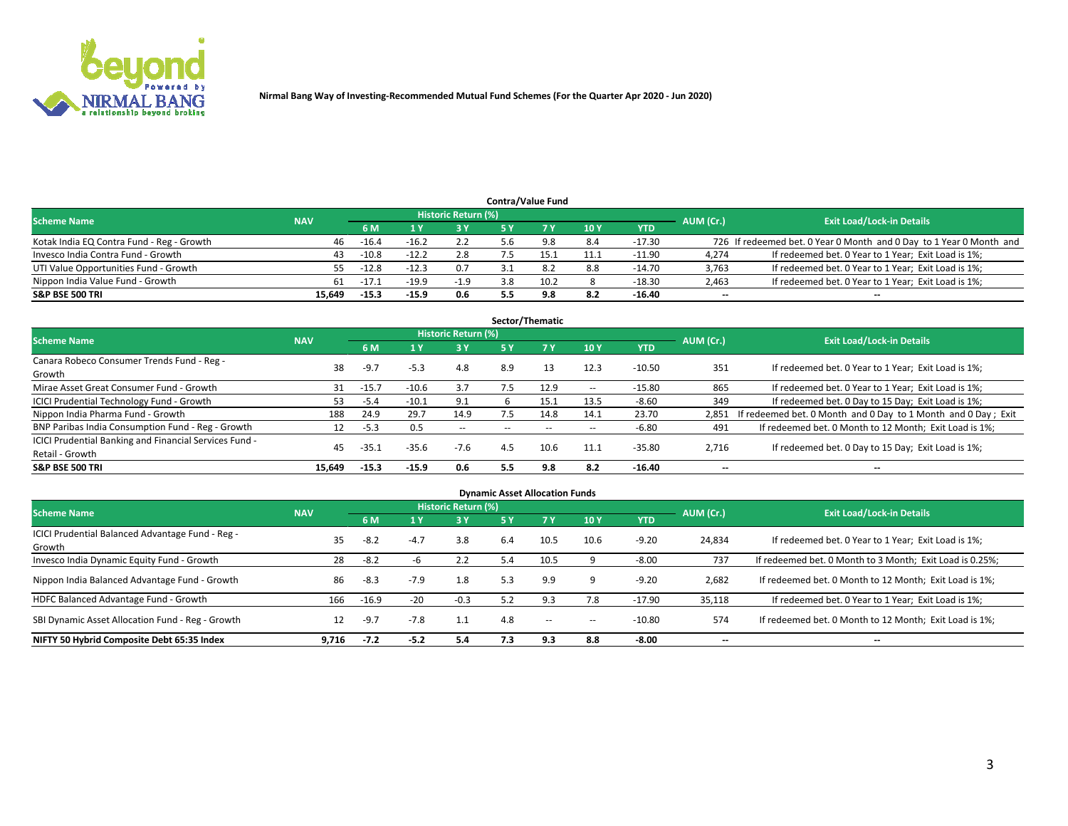

## **6 M 1 Y 3 Y 5 Y 7 Y 10 Y YTD** Kotak India EQ Contra Fund - Reg - Growth <br>
46 -16.4 -16.2 2.2 5.6 9.8 8.4 -17.30 726 If redeemed bet. 0 Year 0 Month and 0 Day to 1 Year 0 Month and Invesco India Contra Fund - Growth **43** -10.8 -12.2 2.8 7.5 15.1 11.1 -11.90 4,274 If redeemed bet. 0 Year to 1 Year; Exit Load is 1%; UTI Value Opportunities Fund - Growth **55 -12.8** -12.8 -12.3 0.7 3.1 8.2 8.8 -14.70 3,763 If redeemed bet. 0 Year to 1 Year; Exit Load is 1%; Nippon India Value Fund - Growth **61 -17.1** -19.9 -1.9 3.8 10.2 8 -18.30 2,463 If redeemed bet. 0 Year to 1 Year; Exit Load is 1%; **S&P BSE 500 TRI 15,649 -15.3 -15.9 0.6 5.5 9.8 8.2 -16.40 -- -- Contra/Value Fund Exit Load/Lock-in Details**<br>1Y 3Y 5Y 7Y 10Y YTD AUM (Cr.) Exit Load/Lock-in Details **Scheme Name NAV AUM (Cr.) NAV AUM (Cr.) NAV AUM (Cr.) AUM (Cr.) AUM (Cr.) AUM (Cr.)**

|                                                        |            |                |         |                            |       | Sector/Thematic |            |            |           |                                                               |
|--------------------------------------------------------|------------|----------------|---------|----------------------------|-------|-----------------|------------|------------|-----------|---------------------------------------------------------------|
| <b>Scheme Name</b>                                     | <b>NAV</b> |                |         | <b>Historic Return (%)</b> |       |                 |            |            | AUM (Cr.) | <b>Exit Load/Lock-in Details</b>                              |
|                                                        |            | 6 <sub>M</sub> | 1 Y     | 3Y                         | 5 Y   |                 | 10Y        | <b>YTD</b> |           |                                                               |
| Canara Robeco Consumer Trends Fund - Reg -<br>Growth   | 38         | $-9.7$         | $-5.3$  | 4.8                        | 8.9   | 13              | 12.3       | $-10.50$   | 351       | If redeemed bet. 0 Year to 1 Year; Exit Load is 1%;           |
| Mirae Asset Great Consumer Fund - Growth               | 31         | $-15.7$        | $-10.6$ | 3.7                        |       | 12.9            | $\sim$ $-$ | $-15.80$   | 865       | If redeemed bet. 0 Year to 1 Year; Exit Load is 1%;           |
| <b>ICICI Prudential Technology Fund - Growth</b>       | 53.        | $-5.4$         | $-10.1$ | 9.1                        |       | 15.1            | 13.5       | $-8.60$    | 349       | If redeemed bet. 0 Day to 15 Day; Exit Load is 1%;            |
| Nippon India Pharma Fund - Growth                      | 188        | 24.9           | 29.7    | 14.9                       | 7.5   | 14.8            | 14.1       | 23.70      | 2.851     | If redeemed bet. 0 Month and 0 Day to 1 Month and 0 Day; Exit |
| BNP Paribas India Consumption Fund - Reg - Growth      | 12         | $-5.3$         | 0.5     | $\overline{\phantom{a}}$   | $- -$ | $- -$           | $\sim$ $-$ | $-6.80$    | 491       | If redeemed bet. 0 Month to 12 Month; Exit Load is 1%;        |
| ICICI Prudential Banking and Financial Services Fund - | 45         | د.35-          |         | $-7.6$                     | 4.5   | 10.6            | 11.1       | $-35.80$   |           |                                                               |
| Retail - Growth                                        |            |                | $-35.6$ |                            |       |                 |            |            | 2,716     | If redeemed bet. 0 Day to 15 Day; Exit Load is 1%;            |
| <b>S&amp;P BSE 500 TRI</b>                             | 15.649     | $-15.3$        | $-15.9$ | 0.6                        | 5.5   | 9.8             | 8.2        | $-16.40$   | --        | --                                                            |

| <b>Dynamic Asset Allocation Funds</b>                      |            |         |        |                     |      |           |            |            |           |                                                          |  |  |
|------------------------------------------------------------|------------|---------|--------|---------------------|------|-----------|------------|------------|-----------|----------------------------------------------------------|--|--|
| <b>Scheme Name</b>                                         | <b>NAV</b> |         |        | Historic Return (%) |      |           |            |            | AUM (Cr.) | <b>Exit Load/Lock-in Details</b>                         |  |  |
|                                                            |            | 6 M     |        | 3 Y                 | 75 Y | <b>7Y</b> | 10Y        | <b>YTD</b> |           |                                                          |  |  |
| ICICI Prudential Balanced Advantage Fund - Reg -<br>Growth | 35         | $-8.2$  | $-4.7$ | 3.8                 | 6.4  | 10.5      | 10.6       | $-9.20$    | 24,834    | If redeemed bet. 0 Year to 1 Year; Exit Load is 1%;      |  |  |
| Invesco India Dynamic Equity Fund - Growth                 | 28         | -8.2    | -h     | 2.2                 | 5.4  | 10.5      |            | $-8.00$    | 737       | If redeemed bet. 0 Month to 3 Month; Exit Load is 0.25%; |  |  |
| Nippon India Balanced Advantage Fund - Growth              | 86         | $-8.3$  | $-7.9$ | 1.8                 | 5.3  | 9.9       | 9          | $-9.20$    | 2,682     | If redeemed bet. 0 Month to 12 Month; Exit Load is 1%;   |  |  |
| HDFC Balanced Advantage Fund - Growth                      | 166        | $-16.9$ | $-20$  | $-0.3$              | 5.2  | 9.3       | 7.8        | $-17.90$   | 35,118    | If redeemed bet. 0 Year to 1 Year; Exit Load is 1%;      |  |  |
| SBI Dynamic Asset Allocation Fund - Reg - Growth           | 12         | $-9.7$  | $-7.8$ | 1.1                 | 4.8  | $- -$     | $\sim$ $-$ | $-10.80$   | 574       | If redeemed bet. 0 Month to 12 Month; Exit Load is 1%;   |  |  |
| NIFTY 50 Hybrid Composite Debt 65:35 Index                 | 9,716      | $-7.2$  | $-5.2$ | 5.4                 | 7.3  | 9.3       | 8.8        | $-8.00$    | $- -$     | $- -$                                                    |  |  |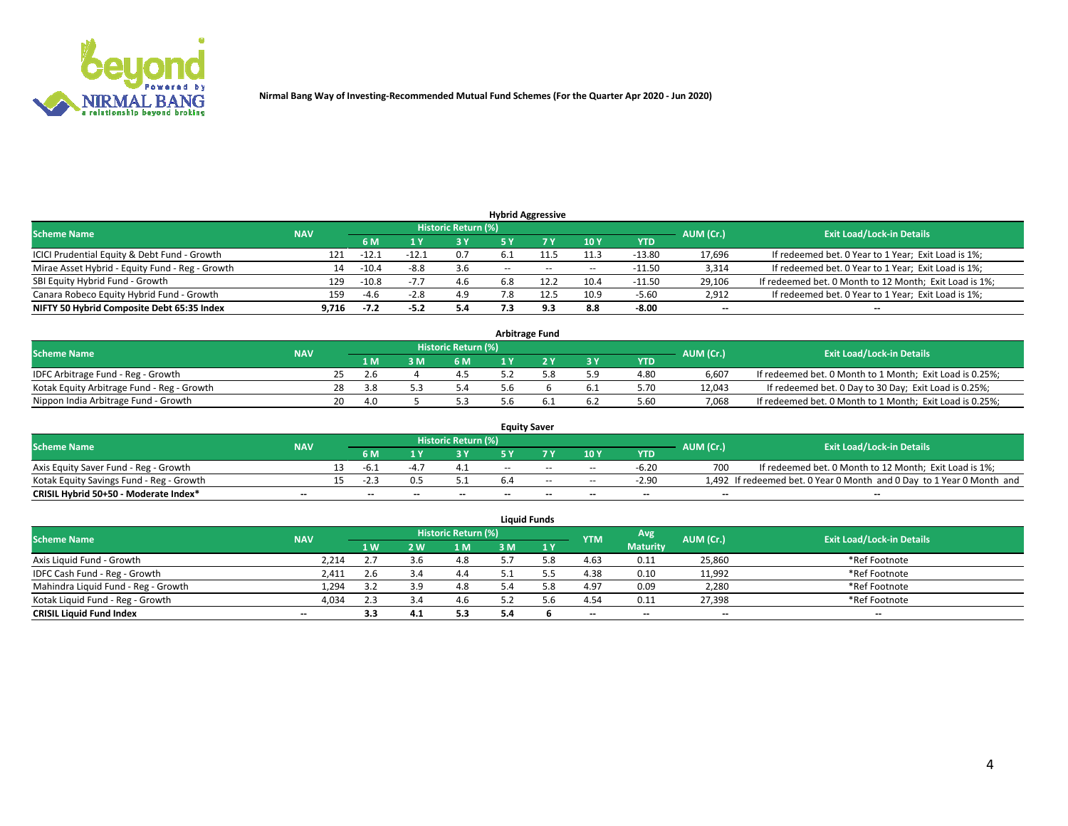

| <b>Hybrid Aggressive</b>                        |            |         |        |                     |        |       |                          |            |                          |                                                        |  |  |
|-------------------------------------------------|------------|---------|--------|---------------------|--------|-------|--------------------------|------------|--------------------------|--------------------------------------------------------|--|--|
| <b>Scheme Name</b>                              | <b>NAV</b> |         |        | Historic Return (%) |        |       |                          |            | AUM (Cr.)                | <b>Exit Load/Lock-in Details</b>                       |  |  |
|                                                 |            | 6 M     |        | 73 Y                | 5 Y    |       | 10Y                      | <b>YTD</b> |                          |                                                        |  |  |
| ICICI Prudential Equity & Debt Fund - Growth    | 121        | $-12.1$ | -12.1  | 0.7                 | b.1    |       | 11.3                     | $-13.80$   | 17,696                   | If redeemed bet. 0 Year to 1 Year; Exit Load is 1%;    |  |  |
| Mirae Asset Hybrid - Equity Fund - Reg - Growth | 14         | $-10.4$ | -8.8   | 3.6                 | $\sim$ | $- -$ | $\overline{\phantom{a}}$ | $-11.50$   | 3,314                    | If redeemed bet. 0 Year to 1 Year; Exit Load is 1%;    |  |  |
| SBI Equity Hybrid Fund - Growth                 | 129        | $-10.8$ | $-1$   | 4.6                 | 6.8    |       | 10.4                     | $-11.50$   | 29,106                   | If redeemed bet. 0 Month to 12 Month; Exit Load is 1%; |  |  |
| Canara Robeco Equity Hybrid Fund - Growth       | 159        | -4.6    | $-2.8$ | 4.9                 |        |       | 10.9                     | $-5.60$    | 2,912                    | If redeemed bet. 0 Year to 1 Year; Exit Load is 1%;    |  |  |
| NIFTY 50 Hybrid Composite Debt 65:35 Index      | 9.716      | $-7.2$  | $-5.2$ | 5.4                 | 7.3    | 9.3   | 8.8                      | $-8.00$    | $\overline{\phantom{a}}$ | $\overline{\phantom{a}}$                               |  |  |

| <b>Arbitrage Fund</b>                      |            |     |     |  |                     |     |  |           |            |           |                                                          |  |  |  |
|--------------------------------------------|------------|-----|-----|--|---------------------|-----|--|-----------|------------|-----------|----------------------------------------------------------|--|--|--|
| <b>Scheme Name</b>                         | <b>NAV</b> |     |     |  | Historic Return (%) |     |  |           |            | AUM (Cr.) | <b>Exit Load/Lock-in Details</b>                         |  |  |  |
|                                            |            |     | 1 M |  | 6 M                 | 1 V |  | <b>3Y</b> | <b>YTD</b> |           |                                                          |  |  |  |
| IDFC Arbitrage Fund - Reg - Growth         |            |     | 2.b |  |                     |     |  | 5.9       | 4.80       | 6.607     | If redeemed bet. 0 Month to 1 Month; Exit Load is 0.25%; |  |  |  |
| Kotak Equity Arbitrage Fund - Reg - Growth |            | 28. |     |  |                     |     |  | 0.1       | 5.70       | 12.043    | If redeemed bet. 0 Day to 30 Day; Exit Load is 0.25%;    |  |  |  |
| Nippon India Arbitrage Fund - Growth       |            | 20. | 4.0 |  |                     |     |  | 6.2       | 5.60       | 7.068     | If redeemed bet. 0 Month to 1 Month; Exit Load is 0.25%; |  |  |  |

| <b>Equity Saver</b>                      |            |  |     |       |                     |     |       |                          |            |           |                                                                       |  |  |  |
|------------------------------------------|------------|--|-----|-------|---------------------|-----|-------|--------------------------|------------|-----------|-----------------------------------------------------------------------|--|--|--|
| <b>Scheme Name</b>                       | <b>NAV</b> |  |     |       | Historic Return (%) |     |       |                          |            | AUM (Cr.) | <b>Exit Load/Lock-in Details</b>                                      |  |  |  |
|                                          |            |  | 6 M |       | ט כ                 |     |       | 10Y                      | <b>YTD</b> |           |                                                                       |  |  |  |
| Axis Equity Saver Fund - Reg - Growth    |            |  | -h. |       |                     | $-$ | $-$   | $- -$                    | $-6.20$    |           | If redeemed bet. 0 Month to 12 Month; Exit Load is 1%;                |  |  |  |
| Kotak Equity Savings Fund - Reg - Growth |            |  |     |       |                     | b.4 | $- -$ | $\sim$ $-$               | $-2.90$    |           | 1,492 If redeemed bet. 0 Year 0 Month and 0 Day to 1 Year 0 Month and |  |  |  |
| CRISIL Hybrid 50+50 - Moderate Index*    | $- -$      |  | $-$ | $- -$ | $- -$               | $-$ | $-$   | $\overline{\phantom{a}}$ | $- -$      | $- -$     | $- -$                                                                 |  |  |  |

| <b>Liquid Funds</b>                 |                          |                |           |                     |              |     |            |                 |           |                                  |  |  |  |  |
|-------------------------------------|--------------------------|----------------|-----------|---------------------|--------------|-----|------------|-----------------|-----------|----------------------------------|--|--|--|--|
| <b>Scheme Name</b>                  | <b>NAV</b>               |                |           | Historic Return (%) |              |     | <b>YTM</b> | Avg             | AUM (Cr.) | <b>Exit Load/Lock-in Details</b> |  |  |  |  |
|                                     |                          | 1 <sub>W</sub> | <b>2W</b> | 1 <sub>M</sub>      | в м          | 1 Y |            | <b>Maturity</b> |           |                                  |  |  |  |  |
| Axis Liquid Fund - Growth           | 2,214                    |                | 3.h       | 4.8                 |              |     | 4.63       | 0.11            | 25,860    | *Ref Footnote                    |  |  |  |  |
| IDFC Cash Fund - Reg - Growth       | 2,411                    | 2.6            |           | 4.4                 |              |     | 4.38       | 0.10            | 11,992    | *Ref Footnote                    |  |  |  |  |
| Mahindra Liquid Fund - Reg - Growth | 1,294                    | 3.2            | 3.9       | 4.8                 | $\mathbf{A}$ |     | 4.97       | 0.09            | 2,280     | *Ref Footnote                    |  |  |  |  |
| Kotak Liquid Fund - Reg - Growth    | 4,034                    | 2.3            |           | 4.6                 |              |     | 4.54       | 0.11            | 27,398    | *Ref Footnote                    |  |  |  |  |
| <b>CRISIL Liquid Fund Index</b>     | $\overline{\phantom{a}}$ | 3.3            |           | 5.3                 | 5.4          |     | $- -$      | $- -$           | $-$       | $- -$                            |  |  |  |  |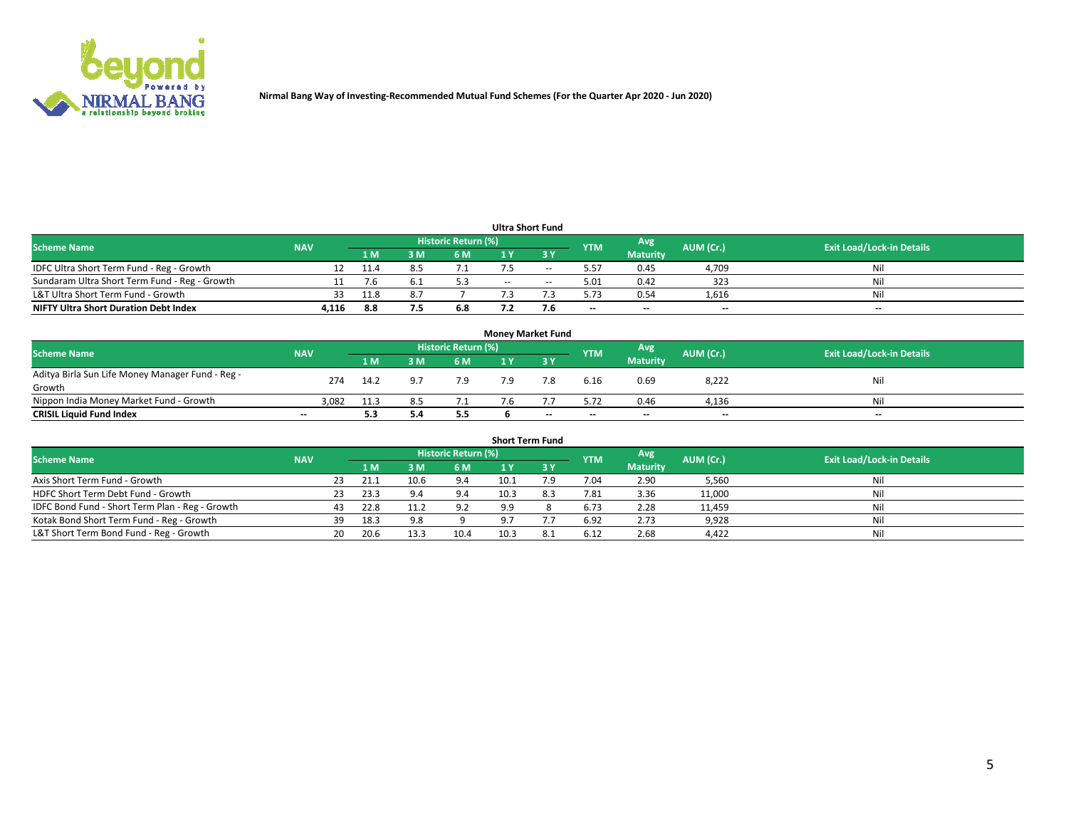

| <b>Ultra Short Fund</b>                       |            |      |     |                     |            |        |                          |                          |           |                                  |  |  |  |
|-----------------------------------------------|------------|------|-----|---------------------|------------|--------|--------------------------|--------------------------|-----------|----------------------------------|--|--|--|
| <b>Scheme Name</b>                            | <b>NAV</b> |      |     | Historic Return (%) |            |        | <b>YTM</b>               | Avg                      | AUM (Cr.) | <b>Exit Load/Lock-in Details</b> |  |  |  |
|                                               |            | 1 M  |     | 6 M                 |            |        |                          | <b>Maturity</b>          |           |                                  |  |  |  |
| IDFC Ultra Short Term Fund - Reg - Growth     |            | 11.4 |     | 7.1                 |            | $- -$  | 5.57                     | 0.45                     | 4,709     | Nil                              |  |  |  |
| Sundaram Ultra Short Term Fund - Reg - Growth |            | '.b  |     |                     | $\sim$ $-$ | $\sim$ | 5.01                     | 0.42                     | 323       | Nil                              |  |  |  |
| L&T Ultra Short Term Fund - Growth            | 33.        | 11.8 |     |                     |            |        | 5.73                     | 0.54                     | 1,616     | Nil                              |  |  |  |
| <b>NIFTY Ultra Short Duration Debt Index</b>  | 4,116      | 8.8  | 7.5 | 6.8                 |            |        | $\overline{\phantom{a}}$ | $\overline{\phantom{a}}$ | $-$       | $\sim$                           |  |  |  |

| <b>Money Market Fund</b>                         |                          |      |     |                     |     |           |                          |                 |           |                                  |  |  |  |
|--------------------------------------------------|--------------------------|------|-----|---------------------|-----|-----------|--------------------------|-----------------|-----------|----------------------------------|--|--|--|
| <b>Scheme Name</b>                               | <b>NAV</b>               |      |     | Historic Return (%) |     |           | <b>YTM</b>               | Avg             | AUM (Cr.) | <b>Exit Load/Lock-in Details</b> |  |  |  |
|                                                  |                          | 1 M  |     | 6 M                 |     | <b>3Y</b> |                          | <b>Maturity</b> |           |                                  |  |  |  |
| Aditya Birla Sun Life Money Manager Fund - Reg - | 274                      | 14.2 | 9.7 | 7.9                 | 7.9 | 7.8       | 6.16                     | 0.69            | 8,222     | Nil                              |  |  |  |
| Growth                                           |                          |      |     |                     |     |           |                          |                 |           |                                  |  |  |  |
| Nippon India Money Market Fund - Growth          | 3,082                    | 11.3 | 8.5 |                     |     |           | 5.72                     | 0.46            | 4,136     | Nil                              |  |  |  |
| <b>CRISIL Liquid Fund Index</b>                  | $\overline{\phantom{a}}$ | 5.3  | 5.4 | 5.5                 |     | $- -$     | $\overline{\phantom{a}}$ | $\sim$          | $-$       | $\overline{\phantom{a}}$         |  |  |  |

| <b>Short Term Fund</b>                          |            |    |      |      |                     |      |     |            |                 |           |                                  |  |  |
|-------------------------------------------------|------------|----|------|------|---------------------|------|-----|------------|-----------------|-----------|----------------------------------|--|--|
| <b>Scheme Name</b>                              | <b>NAV</b> |    |      |      | Historic Return (%) |      |     | <b>YTM</b> | Avg             | AUM (Cr.) | <b>Exit Load/Lock-in Details</b> |  |  |
|                                                 |            |    | 1 M  | 3 M  | 6 <sub>M</sub>      |      |     |            | <b>Maturity</b> |           |                                  |  |  |
| Axis Short Term Fund - Growth                   |            | 23 | 21.1 | 10.6 | 9.4                 | 10.1 | 7.9 | 7.04       | 2.90            | 5,560     | Nil                              |  |  |
| HDFC Short Term Debt Fund - Growth              |            |    | 23.3 |      | 9.4                 | 10.3 |     | 7.81       | 3.36            | 11,000    | Nil                              |  |  |
| IDFC Bond Fund - Short Term Plan - Reg - Growth |            |    | 22.8 | 11.2 | 9.2                 | 9.9  |     | 6.73       | 2.28            | 11,459    | Nil                              |  |  |
| Kotak Bond Short Term Fund - Reg - Growth       |            | 39 | 18.3 | 9.8  |                     |      |     | 6.92       | 2.73            | 9,928     | Nil                              |  |  |
| L&T Short Term Bond Fund - Reg - Growth         |            | 20 | 20.6 | 13.3 | 10.4                | 10.3 |     | 6.12       | 2.68            | 4,422     | Nil                              |  |  |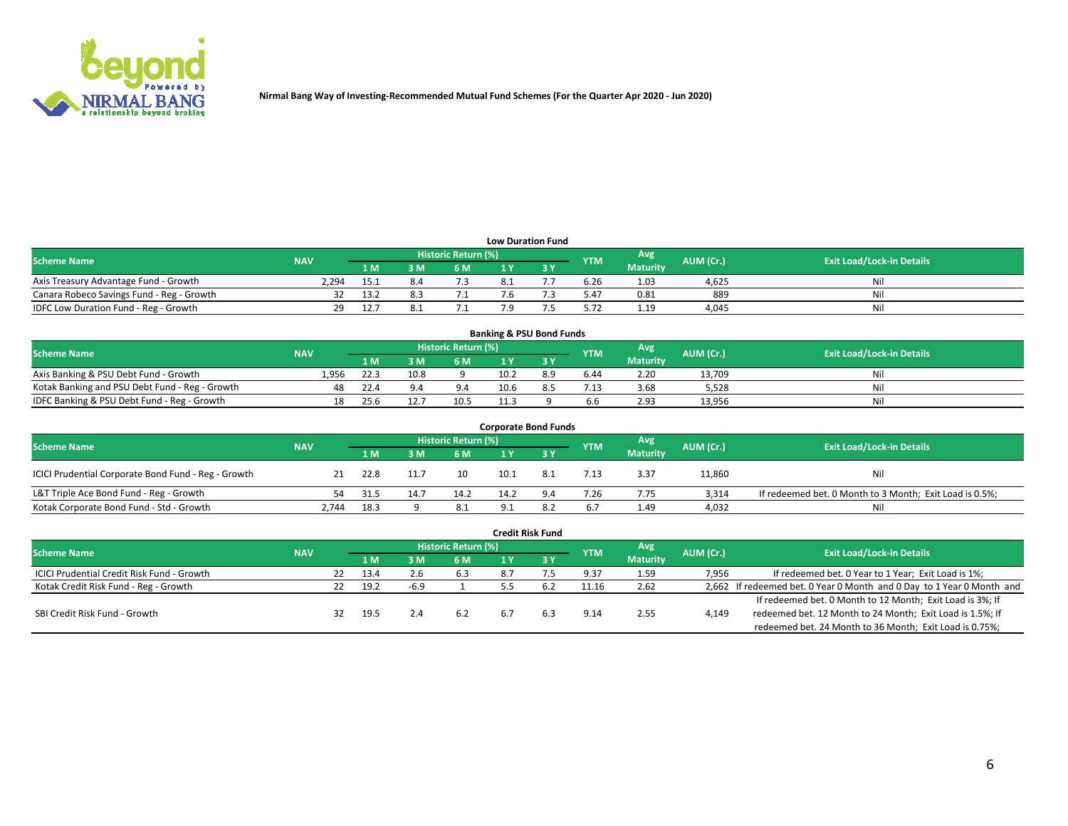

| <b>Low Duration Fund</b>                  |            |      |     |                            |  |  |            |                 |           |                                  |  |  |  |  |
|-------------------------------------------|------------|------|-----|----------------------------|--|--|------------|-----------------|-----------|----------------------------------|--|--|--|--|
| <b>Scheme Name</b>                        | <b>NAV</b> |      |     | <b>Historic Return (%)</b> |  |  | <b>YTM</b> | Avg             | AUM (Cr.) | <b>Exit Load/Lock-in Details</b> |  |  |  |  |
|                                           |            | 1 M  | 3 M | 6 M                        |  |  |            | <b>Maturity</b> |           |                                  |  |  |  |  |
| Axis Treasury Advantage Fund - Growth     | 2,294      | ذ.15 |     |                            |  |  | 6.26       | 1.03            | 4,625     | Nil                              |  |  |  |  |
| Canara Robeco Savings Fund - Reg - Growth |            | 13.2 |     |                            |  |  | 5.47       | 0.81            | 889       | Nil                              |  |  |  |  |
| IDFC Low Duration Fund - Reg - Growth     | 29         | 12.7 |     | ـ .                        |  |  | 5.72       | 1.19            | 4,045     | Nil                              |  |  |  |  |

| <b>Banking &amp; PSU Bond Funds</b>            |            |      |      |                     |      |  |            |                 |           |                                  |  |  |  |
|------------------------------------------------|------------|------|------|---------------------|------|--|------------|-----------------|-----------|----------------------------------|--|--|--|
| <b>Scheme Name</b>                             | <b>NAV</b> |      |      | Historic Return (%) |      |  | <b>YTM</b> | Avg             | AUM (Cr.) | <b>Exit Load/Lock-in Details</b> |  |  |  |
|                                                |            | l M  |      | 6 M                 |      |  |            | <b>Maturity</b> |           |                                  |  |  |  |
| Axis Banking & PSU Debt Fund - Growth          | 1.956      | 22.3 | 10.8 |                     | 10.2 |  | 6.44       | 2.20            | 13,709    | Nil                              |  |  |  |
| Kotak Banking and PSU Debt Fund - Reg - Growth | 48         | 22.4 |      | 9.4                 | 10.6 |  | 7.13       | 3.68            | 5.528     | Nil                              |  |  |  |
| IDFC Banking & PSU Debt Fund - Reg - Growth    |            | 25.6 |      | 10.5                |      |  | 6.6        | 2.93            | 13.956    | Nil                              |  |  |  |

| <b>Corporate Bond Funds</b>                         |            |      |      |                     |     |  |            |                 |           |                                                         |  |  |  |  |
|-----------------------------------------------------|------------|------|------|---------------------|-----|--|------------|-----------------|-----------|---------------------------------------------------------|--|--|--|--|
| <b>Scheme Name</b>                                  | <b>NAV</b> |      |      | Historic Return (%) |     |  | <b>YTM</b> | Avg             | AUM (Cr.) | <b>Exit Load/Lock-in Details</b>                        |  |  |  |  |
|                                                     |            | 1 M  | የ M  | 6 M                 |     |  |            | <b>Maturity</b> |           |                                                         |  |  |  |  |
| ICICI Prudential Corporate Bond Fund - Reg - Growth |            | 22.8 |      | 10                  |     |  | 7.13       | 3.37            | 11,860    | Nil                                                     |  |  |  |  |
| L&T Triple Ace Bond Fund - Reg - Growth             |            | 31.5 | 14.7 | 14.2                |     |  | 7.26       | 7.75            | 3,314     | If redeemed bet. 0 Month to 3 Month; Exit Load is 0.5%; |  |  |  |  |
| Kotak Corporate Bond Fund - Std - Growth            | 2.744      | 18.3 |      | 8.1                 | ∗ ۵ |  | 6.7        | 1.49            | 4.032     | Nil                                                     |  |  |  |  |

| <b>Credit Risk Fund</b>                           |            |  |      |      |                     |     |     |            |                 |           |                                                                       |  |  |  |
|---------------------------------------------------|------------|--|------|------|---------------------|-----|-----|------------|-----------------|-----------|-----------------------------------------------------------------------|--|--|--|
| <b>Scheme Name</b>                                | <b>NAV</b> |  |      |      | Historic Return (%) |     |     | <b>YTM</b> | Avg             | AUM (Cr.) | <b>Exit Load/Lock-in Details</b>                                      |  |  |  |
|                                                   |            |  | 1 M. | ៵៳   | 6 M                 | 1 Y | 73Y |            | <b>Maturity</b> |           |                                                                       |  |  |  |
| <b>ICICI Prudential Credit Risk Fund - Growth</b> |            |  | 13.4 |      | 6.3                 | 8.7 |     | 9.37       | 1.59            | 7,956     | If redeemed bet. 0 Year to 1 Year; Exit Load is 1%;                   |  |  |  |
| Kotak Credit Risk Fund - Reg - Growth             |            |  | 19.2 | -6.9 |                     |     |     | 11.16      | 2.62            |           | 2,662 If redeemed bet. 0 Year 0 Month and 0 Day to 1 Year 0 Month and |  |  |  |
|                                                   |            |  |      |      |                     |     |     |            |                 |           | If redeemed bet. 0 Month to 12 Month; Exit Load is 3%; If             |  |  |  |
| SBI Credit Risk Fund - Growth                     |            |  | 19.5 |      | 6.2                 | 6.7 |     | 9.14       | 2.55            | 4,149     | redeemed bet. 12 Month to 24 Month; Exit Load is 1.5%; If             |  |  |  |
|                                                   |            |  |      |      |                     |     |     |            |                 |           | redeemed bet. 24 Month to 36 Month; Exit Load is 0.75%;               |  |  |  |